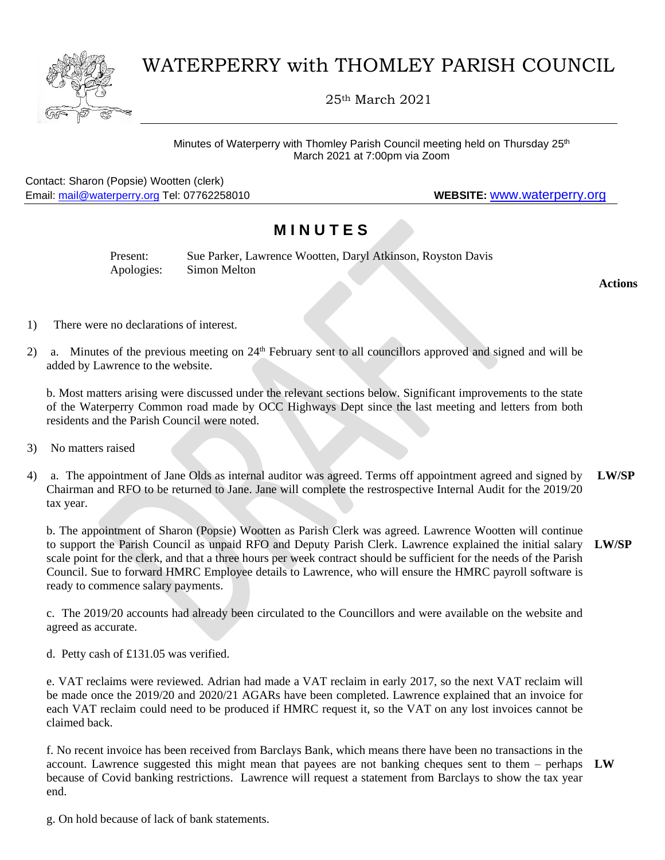

## WATERPERRY with THOMLEY PARISH COUNCIL

25th March 2021

Minutes of Waterperry with Thomley Parish Council meeting held on Thursday 25<sup>th</sup> March 2021 at 7:00pm via Zoom

Contact: Sharon (Popsie) Wootten (clerk) Email: [mail@waterperry.org](mailto:mail@waterperry.org) Tel: 07762258010 **WEBSITE:** [www.waterperry.org](http://www.waterperry.org/)

## **M I N U T E S**

| Present:   | Sue Parker, Lawrence Wootten, Daryl Atkinson, Royston Davis |
|------------|-------------------------------------------------------------|
| Apologies: | Simon Melton                                                |

**Actions**

- 1) There were no declarations of interest.
- 2) a. Minutes of the previous meeting on 24<sup>th</sup> February sent to all councillors approved and signed and will be added by Lawrence to the website.

b. Most matters arising were discussed under the relevant sections below. Significant improvements to the state of the Waterperry Common road made by OCC Highways Dept since the last meeting and letters from both residents and the Parish Council were noted.

- 3) No matters raised
- 4) a. The appointment of Jane Olds as internal auditor was agreed. Terms off appointment agreed and signed by Chairman and RFO to be returned to Jane. Jane will complete the restrospective Internal Audit for the 2019/20 tax year. **LW/SP**

b. The appointment of Sharon (Popsie) Wootten as Parish Clerk was agreed. Lawrence Wootten will continue to support the Parish Council as unpaid RFO and Deputy Parish Clerk. Lawrence explained the initial salary **LW/SP** scale point for the clerk, and that a three hours per week contract should be sufficient for the needs of the Parish Council. Sue to forward HMRC Employee details to Lawrence, who will ensure the HMRC payroll software is ready to commence salary payments.

c. The 2019/20 accounts had already been circulated to the Councillors and were available on the website and agreed as accurate.

d. Petty cash of £131.05 was verified.

e. VAT reclaims were reviewed. Adrian had made a VAT reclaim in early 2017, so the next VAT reclaim will be made once the 2019/20 and 2020/21 AGARs have been completed. Lawrence explained that an invoice for each VAT reclaim could need to be produced if HMRC request it, so the VAT on any lost invoices cannot be claimed back.

f. No recent invoice has been received from Barclays Bank, which means there have been no transactions in the account. Lawrence suggested this might mean that payees are not banking cheques sent to them – perhaps **LW**because of Covid banking restrictions. Lawrence will request a statement from Barclays to show the tax year end.

g. On hold because of lack of bank statements.